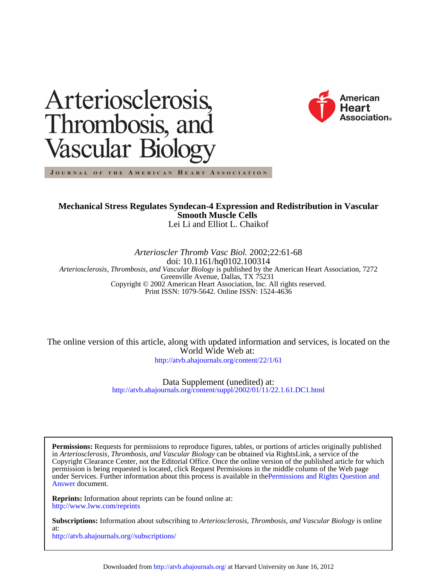



JOURNAL OF THE AMERICAN HEART ASSOCIATION

# Lei Li and Elliot L. Chaikof **Smooth Muscle Cells Mechanical Stress Regulates Syndecan-4 Expression and Redistribution in Vascular**

Print ISSN: 1079-5642. Online ISSN: 1524-4636 Copyright © 2002 American Heart Association, Inc. All rights reserved. Greenville Avenue, Dallas, TX 75231 *Arteriosclerosis, Thrombosis, and Vascular Biology* is published by the American Heart Association, 7272 doi: 10.1161/hq0102.100314 *Arterioscler Thromb Vasc Biol.* 2002;22:61-68

<http://atvb.ahajournals.org/content/22/1/61> World Wide Web at: The online version of this article, along with updated information and services, is located on the

> <http://atvb.ahajournals.org/content/suppl/2002/01/11/22.1.61.DC1.html> Data Supplement (unedited) at:

[Answer](http://www.ahajournals.org/site/rights/) document. under Services. Further information about this process is available in thePermissions and Rights Question and permission is being requested is located, click Request Permissions in the middle column of the Web page Copyright Clearance Center, not the Editorial Office. Once the online version of the published article for which in *Arteriosclerosis, Thrombosis, and Vascular Biology* can be obtained via RightsLink, a service of the **Permissions:** Requests for permissions to reproduce figures, tables, or portions of articles originally published

<http://www.lww.com/reprints> **Reprints:** Information about reprints can be found online at:

<http://atvb.ahajournals.org//subscriptions/> at: **Subscriptions:** Information about subscribing to *Arteriosclerosis, Thrombosis, and Vascular Biology* is online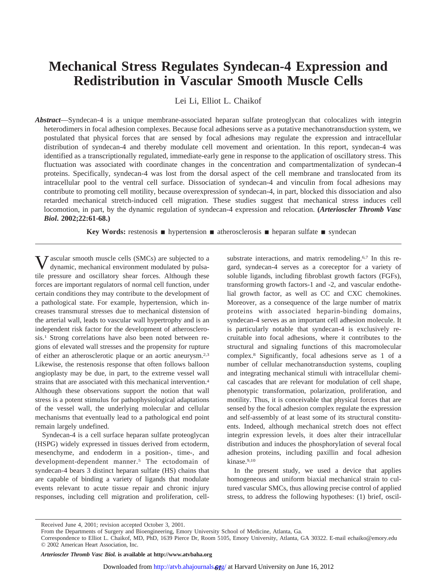# **Mechanical Stress Regulates Syndecan-4 Expression and Redistribution in Vascular Smooth Muscle Cells**

Lei Li, Elliot L. Chaikof

*Abstract*—Syndecan-4 is a unique membrane-associated heparan sulfate proteoglycan that colocalizes with integrin heterodimers in focal adhesion complexes. Because focal adhesions serve as a putative mechanotransduction system, we postulated that physical forces that are sensed by focal adhesions may regulate the expression and intracellular distribution of syndecan-4 and thereby modulate cell movement and orientation. In this report, syndecan-4 was identified as a transcriptionally regulated, immediate-early gene in response to the application of oscillatory stress. This fluctuation was associated with coordinate changes in the concentration and compartmentalization of syndecan-4 proteins. Specifically, syndecan-4 was lost from the dorsal aspect of the cell membrane and translocated from its intracellular pool to the ventral cell surface. Dissociation of syndecan-4 and vinculin from focal adhesions may contribute to promoting cell motility, because overexpression of syndecan-4, in part, blocked this dissociation and also retarded mechanical stretch-induced cell migration. These studies suggest that mechanical stress induces cell locomotion, in part, by the dynamic regulation of syndecan-4 expression and relocation. **(***Arterioscler Thromb Vasc Biol***. 2002;22:61-68.)**

**Key Words:** restenosis  $\blacksquare$  hypertension  $\blacksquare$  atherosclerosis  $\blacksquare$  heparan sulfate  $\blacksquare$  syndecan

Vascular smooth muscle cells (SMCs) are subjected to a dynamic, mechanical environment modulated by pulsatile pressure and oscillatory shear forces. Although these forces are important regulators of normal cell function, under certain conditions they may contribute to the development of a pathological state. For example, hypertension, which increases transmural stresses due to mechanical distension of the arterial wall, leads to vascular wall hypertrophy and is an independent risk factor for the development of atherosclerosis.1 Strong correlations have also been noted between regions of elevated wall stresses and the propensity for rupture of either an atherosclerotic plaque or an aortic aneurysm.2,3 Likewise, the restenosis response that often follows balloon angioplasty may be due, in part, to the extreme vessel wall strains that are associated with this mechanical intervention.4 Although these observations support the notion that wall stress is a potent stimulus for pathophysiological adaptations of the vessel wall, the underlying molecular and cellular mechanisms that eventually lead to a pathological end point remain largely undefined.

Syndecan-4 is a cell surface heparan sulfate proteoglycan (HSPG) widely expressed in tissues derived from ectoderm, mesenchyme, and endoderm in a position-, time-, and development-dependent manner.5 The ectodomain of syndecan-4 bears 3 distinct heparan sulfate (HS) chains that are capable of binding a variety of ligands that modulate events relevant to acute tissue repair and chronic injury responses, including cell migration and proliferation, cellsubstrate interactions, and matrix remodeling.<sup>6,7</sup> In this regard, syndecan-4 serves as a coreceptor for a variety of soluble ligands, including fibroblast growth factors (FGFs), transforming growth factors-1 and -2, and vascular endothelial growth factor, as well as CC and CXC chemokines. Moreover, as a consequence of the large number of matrix proteins with associated heparin-binding domains, syndecan-4 serves as an important cell adhesion molecule. It is particularly notable that syndecan-4 is exclusively recruitable into focal adhesions, where it contributes to the structural and signaling functions of this macromolecular complex.8 Significantly, focal adhesions serve as 1 of a number of cellular mechanotransduction systems, coupling and integrating mechanical stimuli with intracellular chemical cascades that are relevant for modulation of cell shape, phenotypic transformation, polarization, proliferation, and motility. Thus, it is conceivable that physical forces that are sensed by the focal adhesion complex regulate the expression and self-assembly of at least some of its structural constituents. Indeed, although mechanical stretch does not effect integrin expression levels, it does alter their intracellular distribution and induces the phosphorylation of several focal adhesion proteins, including paxillin and focal adhesion kinase.9,10

In the present study, we used a device that applies homogeneous and uniform biaxial mechanical strain to cultured vascular SMCs, thus allowing precise control of applied stress, to address the following hypotheses: (1) brief, oscil-

Received June 4, 2001; revision accepted October 3, 2001.

*Arterioscler Thromb Vasc Biol.* **is available at http://www.atvbaha.org**

From the Departments of Surgery and Bioengineering, Emory University School of Medicine, Atlanta, Ga.

Correspondence to Elliot L. Chaikof, MD, PhD, 1639 Pierce Dr, Room 5105, Emory University, Atlanta, GA 30322. E-mail echaiko@emory.edu © 2002 American Heart Association, Inc.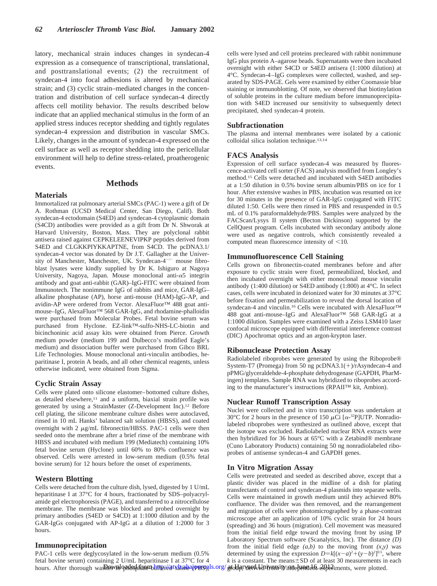latory, mechanical strain induces changes in syndecan-4 expression as a consequence of transcriptional, translational, and posttranslational events; (2) the recruitment of syndecan-4 into focal adhesions is altered by mechanical strain; and (3) cyclic strain–mediated changes in the concentration and distribution of cell surface syndecan-4 directly affects cell motility behavior. The results described below indicate that an applied mechanical stimulus in the form of an applied stress induces receptor shedding and tightly regulates syndecan-4 expression and distribution in vascular SMCs. Likely, changes in the amount of syndecan-4 expressed on the cell surface as well as receptor shedding into the pericellular environment will help to define stress-related, proatherogenic events.

## **Methods**

# **Materials**

Immortalized rat pulmonary arterial SMCs (PAC-1) were a gift of Dr A. Rothman (UCSD Medical Center, San Diego, Calif). Both syndecan-4 ectodomain (S4ED) and syndecan-4 cytoplasmic domain (S4CD) antibodies were provided as a gift from Dr N. Shworak at Harvard University, Boston, Mass. They are polyclonal rabbit antisera raised against CEPKELEENEVIPKP peptides derived from S4ED and CLGKKPIYKKAPTNE, from S4CD. The pcDNA3.1/ syndecan-4 vector was donated by Dr J.T. Gallagher at the University of Manchester, Manchester, UK. Syndecan- $4^{-/-}$  mouse fibroblast lysates were kindly supplied by Dr K. Ishiguro at Nagoya University, Nagoya, Japan. Mouse monoclonal anti- $\alpha$ 5 integrin antibody and goat anti-rabbit (GAR)–IgG-FITC were obtained from Immunotech. The nonimmune IgG of rabbits and mice, GAR-IgG– alkaline phosphatase (AP), horse anti-mouse (HAM)-IgG-AP, and avidin-AP were ordered from Vector. AlexaFluor™ 488 goat antimouse–IgG, AlexaFluor™ 568 GAR-IgG, and rhodamine-phalloidin were purchased from Molecular Probes. Fetal bovine serum was purchased from Hyclone. EZ-link™-sulfo-NHS-LC-biotin and bicinchoninic acid assay kits were obtained from Pierce. Growth medium powder (medium 199 and Dulbecco's modified Eagle's medium) and dissociation buffer were purchased from Gibco BRL Life Technologies. Mouse monoclonal anti-vinculin antibodies, heparitinase I, protein A beads, and all other chemical reagents, unless otherwise indicated, were obtained from Sigma.

## **Cyclic Strain Assay**

Cells were plated onto silicone elastomer–bottomed culture dishes, as detailed elsewhere,<sup>11</sup> and a uniform, biaxial strain profile was generated by using a StrainMaster (Z-Development Inc).12 Before cell plating, the silicone membrane culture dishes were autoclaved, rinsed in 10 mL Hanks' balanced salt solution (HBSS), and coated overnight with  $2 \mu g/mL$  fibronectin/HBSS. PAC-1 cells were then seeded onto the membrane after a brief rinse of the membrane with HBSS and incubated with medium 199 (Mediatech) containing 10% fetal bovine serum (Hyclone) until 60% to 80% confluence was observed. Cells were arrested in low-serum medium (0.5% fetal bovine serum) for 12 hours before the onset of experiments.

## **Western Blotting**

Cells were detached from the culture dish, lysed, digested by 1 U/mL heparitinase I at 37°C for 4 hours, fractionated by SDS–polyacrylamide gel electrophoresis (PAGE), and transferred to a nitrocellulose membrane. The membrane was blocked and probed overnight by primary antibodies (S4ED or S4CD) at 1:1000 dilution and by the GAR-IgGs conjugated with AP-IgG at a dilution of 1:2000 for 3 hours.

## **Immunoprecipitation**

PAC-1 cells were deglycosylated in the low-serum medium (0.5% fetal bovine serum) containing 2 U/mL heparitinase I at 37°C for 4 hours. After thorough was<del>hesynloadsthaanhime/d</del>ishinkaipmspils.org/ at Harvard University mushened fr. 2012 iments, were plotted.

cells were lysed and cell proteins precleared with rabbit nonimmune IgG plus protein A–agarose beads. Supernatants were then incubated overnight with either S4CD or S4ED antisera (1:1000 dilution) at 4°C. Syndecan-4–IgG complexes were collected, washed, and separated by SDS-PAGE. Gels were examined by either Coomassie blue staining or immunoblotting. Of note, we observed that biotinylation of soluble proteins in the culture medium before immunoprecipitation with S4ED increased our sensitivity to subsequently detect precipitated, shed syndecan-4 protein.

#### **Subfractionation**

The plasma and internal membranes were isolated by a cationic colloidal silica isolation technique.13,14

## **FACS Analysis**

Expression of cell surface syndecan-4 was measured by fluorescence-activated cell sorter (FACS) analysis modified from Longley's method.15 Cells were detached and incubated with S4ED antibodies at a 1:50 dilution in 0.5% bovine serum albumin/PBS on ice for 1 hour. After extensive washes in PBS, incubation was resumed on ice for 30 minutes in the presence of GAR-IgG conjugated with FITC diluted 1:50. Cells were then rinsed in PBS and resuspended in 0.5 mL of 0.1% paraformaldehyde/PBS. Samples were analyzed by the FACScan/Lysys II system (Becton Dickinson) supported by the CellQuest program. Cells incubated with secondary antibody alone were used as negative controls, which consistently revealed a computed mean fluorescence intensity of  $<$ 10.

### **Immunofluorescence Cell Staining**

Cells grown on fibronectin-coated membranes before and after exposure to cyclic strain were fixed, permeabilized, blocked, and then incubated overnight with either monoclonal mouse vinculin antibody (1:400 dilution) or S4ED antibody (1:800) at 4°C. In select cases, cells were incubated in deionized water for 30 minutes at 37°C before fixation and permeabilization to reveal the dorsal location of syndecan-4 and vinculin.<sup>16</sup> Cells were incubated with AlexaFluor™ 488 goat anti-mouse–IgG and AlexaFluor™ 568 GAR-IgG at a 1:1000 dilution. Samples were examined with a Zeiss LSM410 laser confocal microscope equipped with differential interference contrast (DIC) Apochromat optics and an argon-krypton laser.

#### **Ribonuclease Protection Assay**

Radiolabeled riboprobes were generated by using the Riboprobe® System-T7 (Promega) from 50 ng pcDNA3.1(+)/rAsyndecan-4 and pPMG/glyceraldehde-4-phosphate dehydrogenase (GAPDH, PharMingen) templates. Sample RNA was hybridized to riboprobes according to the manufacturer's instructions (RPAII™ kit, Ambion).

## **Nuclear Runoff Transcription Assay**

Nuclei were collected and in vitro transcription was undertaken at 30°C for 2 hours in the presence of 150  $\mu$ Ci [ $\alpha$ -<sup>32</sup>P]UTP. Nonradiolabeled riboprobes were synthesized as outlined above, except that the isotope was excluded. Radiolabeled nuclear RNA extracts were then hybridized for 36 hours at 65°C with a Zetabind® membrane (Cuno Laboratory Products) containing 50 ng nonradiolabeled riboprobes of antisense syndecan-4 and GAPDH genes.

## **In Vitro Migration Assay**

Cells were pretreated and seeded as described above, except that a plastic divider was placed in the midline of a dish for plating transfectants of control and syndecan-4 plasmids into separate wells. Cells were maintained in growth medium until they achieved 80% confluence. The divider was then removed, and the rearrangement and migration of cells were photomicrographed by a phase-contrast microscope after an application of 10% cyclic strain for 24 hours (spreading) and 36 hours (migration). Cell movement was measured from the initial field edge toward the moving front by using IP Laboratory Spectrum software (Scanalytics, Inc). The distance *(D)* from the initial field edge  $(a,b)$  to the moving front  $(x, y)$  was determined by using the expression  $D = k[(x-a)^2 + (y-b)^2]^{0.5}$ , where  $k$  is a constant. The means $\pm$ SD of at least 30 measurements in each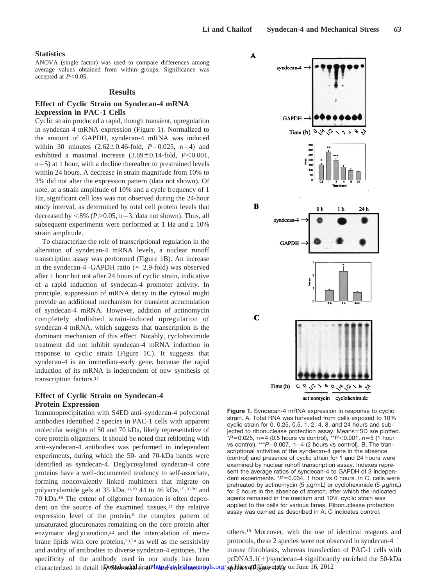#### **Statistics**

ANOVA (single factor) was used to compare differences among average values obtained from within groups. Significance was accepted at  $P<0.05$ .

#### **Results**

# **Effect of Cyclic Strain on Syndecan-4 mRNA Expression in PAC-1 Cells**

Cyclic strain produced a rapid, though transient, upregulation in syndecan-4 mRNA expression (Figure 1). Normalized to the amount of GAPDH, syndecan-4 mRNA was induced within 30 minutes  $(2.62 \pm 0.46 \text{-} \text{fold}, P=0.025, n=4)$  and exhibited a maximal increase  $(3.89 \pm 0.14 \text{ -fold}, P \leq 0.001,$  $n=5$ ) at 1 hour, with a decline thereafter to prestrained levels within 24 hours. A decrease in strain magnitude from 10% to 3% did not alter the expression pattern (data not shown). Of note, at a strain amplitude of 10% and a cycle frequency of 1 Hz, significant cell loss was not observed during the 24-hour study interval, as determined by total cell protein levels that decreased by  $\langle 8\% (P>0.05, n=3; \text{data not shown})$ . Thus, all subsequent experiments were performed at 1 Hz and a 10% strain amplitude.

To characterize the role of transcriptional regulation in the alteration of syndecan-4 mRNA levels, a nuclear runoff transcription assay was performed (Figure 1B). An increase in the syndecan-4–GAPDH ratio ( $\approx$  2.9-fold) was observed after 1 hour but not after 24 hours of cyclic strain, indicative of a rapid induction of syndecan-4 promoter activity. In principle, suppression of mRNA decay in the cytosol might provide an additional mechanism for transient accumulation of syndecan-4 mRNA. However, addition of actinomycin completely abolished strain-induced upregulation of syndecan-4 mRNA, which suggests that transcription is the dominant mechanism of this effect. Notably, cycloheximide treatment did not inhibit syndecan-4 mRNA induction in response to cyclic strain (Figure 1C). It suggests that syndecan-4 is an immediate-early gene, because the rapid induction of its mRNA is independent of new synthesis of transcription factors.17

# **Effect of Cyclic Strain on Syndecan-4 Protein Expression**

Immunoprecipitation with S4ED anti–syndecan-4 polyclonal antibodies identified 2 species in PAC-1 cells with apparent molecular weights of 50 and 70 kDa, likely representative of core protein oligomers. It should be noted that reblotting with anti–syndecan-4 antibodies was performed in independent experiments, during which the 50- and 70-kDa bands were identified as syndecan-4. Deglycosylated syndecan-4 core proteins have a well-documented tendency to self-associate, forming noncovalently linked multimers that migrate on polyacrylamide gels at 35 kDa,18,19 44 to 46 kDa,15,16,20 and 70 kDa.16 The extent of oligomer formation is often dependent on the source of the examined tissues, $21$  the relative expression level of the protein,<sup>6</sup> the complex pattern of unsaturated glucuronates remaining on the core protein after enzymatic deglycanation,<sup>22</sup> and the intercalation of membrane lipids with core proteins,<sup>23,24</sup> as well as the sensitivity and avidity of antibodies to diverse syndecan-4 epitopes. The specificity of the antibody used in our study has been characterized in detail by OS muloaded drom Phttp://atvbrahajournals.org/spddaeyanthylmiyetsity on June 16, 2012

 $\overline{\mathbf{A}}$ 



**Figure 1.** Syndecan-4 mRNA expression in response to cyclic strain. A, Total RNA was harvested from cells exposed to 10% cyclic strain for 0, 0.25, 0.5, 1, 2, 4, 8, and 24 hours and subjected to ribonuclease protection assay. Means $\pm$ SD are plotted. *\*P=*0.025, n=4 (0.5 hours vs control), *\*\*P<*0.001, n=5 (1 hour vs control), \*\*\*P=0.007, n=4 (2 hours vs control). B, The transcriptional activities of the syndecan-4 gene in the absence (control) and presence of cyclic strain for 1 and 24 hours were examined by nuclear runoff transcription assay. Indexes represent the average ratios of syndecan-4 to GAPDH of 3 independent experiments. \*P=0.034, 1 hour vs 0 hours. In C, cells were pretreated by actinomycin (5  $\mu$ g/mL) or cycloheximide (5  $\mu$ g/mL) for 2 hours in the absence of stretch, after which the indicated agents remained in the medium and 10% cyclic strain was applied to the cells for various times. Ribonuclease protection assay was carried as described in A. C indicates control.

others.18 Moreover, with the use of identical reagents and protocols, these 2 species were not observed in syndecan- $4^{-/-}$ mouse fibroblasts, whereas transfection of PAC-1 cells with  $pcDNA3.1(+)$ /syndecan-4 significantly enriched the 50-kDa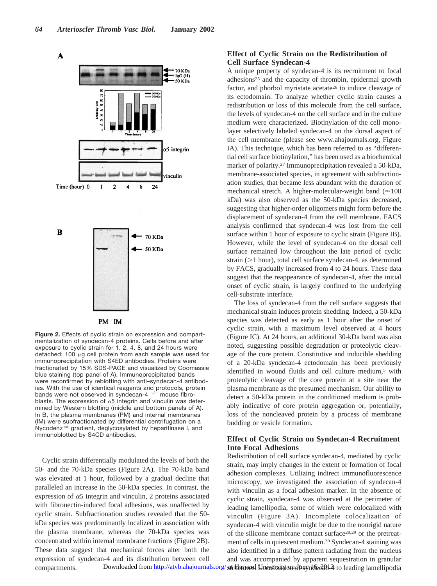A



PM IM **Figure 2.** Effects of cyclic strain on expression and compartmentalization of syndecan-4 proteins. Cells before and after exposure to cyclic strain for 1, 2, 4, 8, and 24 hours were detached; 100  $\mu$ g cell protein from each sample was used for immunoprecipitation with S4ED antibodies. Proteins were fractionated by 15% SDS-PAGE and visualized by Coomassie blue staining (top panel of A). Immunoprecipitated bands were reconfirmed by reblotting with anti–syndecan-4 antibodies. With the use of identical reagents and protocols, protein bands were not observed in syndecan-4  $^{-/-}$  mouse fibroblasts. The expression of  $\alpha$ 5 integrin and vinculin was determined by Western blotting (middle and bottom panels of A). In B, the plasma membranes (PM) and internal membranes (IM) were subfractionated by differential centrifugation on a Nycodenz™ gradient, deglycosylated by heparitinase I, and

immunoblotted by S4CD antibodies.

Cyclic strain differentially modulated the levels of both the 50- and the 70-kDa species (Figure 2A). The 70-kDa band was elevated at 1 hour, followed by a gradual decline that paralleled an increase in the 50-kDa species. In contrast, the expression of  $\alpha$ 5 integrin and vinculin, 2 proteins associated with fibronectin-induced focal adhesions, was unaffected by cyclic strain. Subfractionation studies revealed that the 50 kDa species was predominantly localized in association with the plasma membrane, whereas the 70-kDa species was concentrated within internal membrane fractions (Figure 2B). These data suggest that mechanical forces alter both the expression of syndecan-4 and its distribution between cell compartments.

# **Effect of Cyclic Strain on the Redistribution of Cell Surface Syndecan-4**

A unique property of syndecan-4 is its recruitment to focal adhesions<sup>25</sup> and the capacity of thrombin, epidermal growth factor, and phorbol myristate acetate<sup>26</sup> to induce cleavage of its ectodomain. To analyze whether cyclic strain causes a redistribution or loss of this molecule from the cell surface, the levels of syndecan-4 on the cell surface and in the culture medium were characterized. Biotinylation of the cell monolayer selectively labeled syndecan-4 on the dorsal aspect of the cell membrane (please see www.ahajournals.org, Figure IA). This technique, which has been referred to as "differential cell surface biotinylation," has been used as a biochemical marker of polarity.27 Immunoprecipitation revealed a 50-kDa, membrane-associated species, in agreement with subfractionation studies, that became less abundant with the duration of mechanical stretch. A higher-molecular-weight band ( $\approx$ 100 kDa) was also observed as the 50-kDa species decreased, suggesting that higher-order oligomers might form before the displacement of syndecan-4 from the cell membrane. FACS analysis confirmed that syndecan-4 was lost from the cell surface within 1 hour of exposure to cyclic strain (Figure IB). However, while the level of syndecan-4 on the dorsal cell surface remained low throughout the late period of cyclic strain  $(1$  hour), total cell surface syndecan-4, as determined by FACS, gradually increased from 4 to 24 hours. These data suggest that the reappearance of syndecan-4, after the initial onset of cyclic strain, is largely confined to the underlying cell-substrate interface.

The loss of syndecan-4 from the cell surface suggests that mechanical strain induces protein shedding. Indeed, a 50-kDa species was detected as early as 1 hour after the onset of cyclic strain, with a maximum level observed at 4 hours (Figure IC). At 24 hours, an additional 30-kDa band was also noted, suggesting possible degradation or proteolytic cleavage of the core protein. Constitutive and inducible shedding of a 20-kDa syndecan-4 ectodomain has been previously identified in wound fluids and cell culture medium,<sup>5</sup> with proteolytic cleavage of the core protein at a site near the plasma membrane as the presumed mechanism. Our ability to detect a 50-kDa protein in the conditioned medium is probably indicative of core protein aggregation or, potentially, loss of the noncleaved protein by a process of membrane budding or vesicle formation.

# **Effect of Cyclic Strain on Syndecan-4 Recruitment Into Focal Adhesions**

Redistribution of cell surface syndecan-4, mediated by cyclic strain, may imply changes in the extent or formation of focal adhesion complexes. Utilizing indirect immunofluorescence microscopy, we investigated the association of syndecan-4 with vinculin as a focal adhesion marker. In the absence of cyclic strain, syndecan-4 was observed at the perimeter of leading lamellipodia, some of which were colocalized with vinculin (Figure 3A). Incomplete colocalization of syndecan-4 with vinculin might be due to the nonrigid nature of the silicone membrane contact surface28,29 or the pretreatment of cells in quiescent medium.30 Syndecan-4 staining was also identified in a diffuse pattern radiating from the nucleus and was accompanied by apparent sequestration in granular Downloaded from<http://atvb.ahajournals.org/>at Harward University on June 16, 211 2 to leading lamellipodia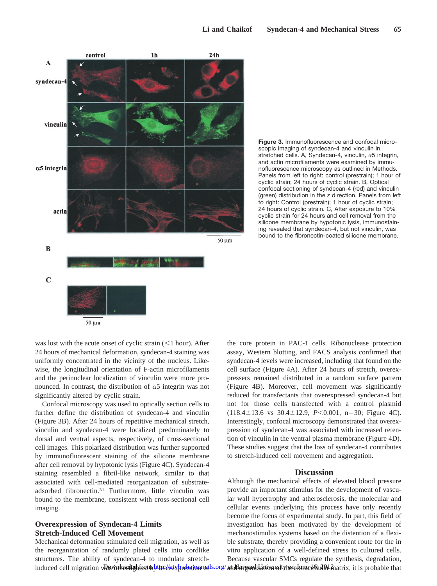

**Figure 3.** Immunofluorescence and confocal microscopic imaging of syndecan-4 and vinculin in stretched cells. A, Syndecan-4, vinculin,  $\alpha$ 5 integrin, and actin microfilaments were examined by immunofluorescence microscopy as outlined in Methods. Panels from left to right: control (prestrain); 1 hour of cyclic strain; 24 hours of cyclic strain. B, Optical confocal sectioning of syndecan-4 (red) and vinculin (green) distribution in the *z* direction. Panels from left to right: Control (prestrain); 1 hour of cyclic strain; 24 hours of cyclic strain. C, After exposure to 10% cyclic strain for 24 hours and cell removal from the silicone membrane by hypotonic lysis, immunostaining revealed that syndecan-4, but not vinculin, was bound to the fibronectin-coated silicone membrane.

was lost with the acute onset of cyclic strain  $(<1$  hour). After 24 hours of mechanical deformation, syndecan-4 staining was uniformly concentrated in the vicinity of the nucleus. Likewise, the longitudinal orientation of F-actin microfilaments and the perinuclear localization of vinculin were more pronounced. In contrast, the distribution of  $\alpha$ 5 integrin was not significantly altered by cyclic strain.

Confocal microscopy was used to optically section cells to further define the distribution of syndecan-4 and vinculin (Figure 3B). After 24 hours of repetitive mechanical stretch, vinculin and syndecan-4 were localized predominately to dorsal and ventral aspects, respectively, of cross-sectional cell images. This polarized distribution was further supported by immunofluorescent staining of the silicone membrane after cell removal by hypotonic lysis (Figure 4C). Syndecan-4 staining resembled a fibril-like network, similar to that associated with cell-mediated reorganization of substrateadsorbed fibronectin.31 Furthermore, little vinculin was bound to the membrane, consistent with cross-sectional cell imaging.

# **Overexpression of Syndecan-4 Limits Stretch-Induced Cell Movement**

Mechanical deformation stimulated cell migration, as well as the reorganization of randomly plated cells into cordlike structures. The ability of syndecan-4 to modulate stretchinduced cell migration was investigated to http://axbreksion.pals.org/andHaryand Lanoarsity on Luna Andrix, it is probable that

the core protein in PAC-1 cells. Ribonuclease protection assay, Western blotting, and FACS analysis confirmed that syndecan-4 levels were increased, including that found on the cell surface (Figure 4A). After 24 hours of stretch, overexpressers remained distributed in a random surface pattern (Figure 4B). Moreover, cell movement was significantly reduced for transfectants that overexpressed syndecan-4 but not for those cells transfected with a control plasmid  $(118.4 \pm 13.6 \text{ vs } 30.4 \pm 12.9, P < 0.001, n = 30; \text{ Figure } 4C).$ Interestingly, confocal microscopy demonstrated that overexpression of syndecan-4 was associated with increased retention of vinculin in the ventral plasma membrane (Figure 4D). These studies suggest that the loss of syndecan-4 contributes to stretch-induced cell movement and aggregation.

#### **Discussion**

Although the mechanical effects of elevated blood pressure provide an important stimulus for the development of vascular wall hypertrophy and atherosclerosis, the molecular and cellular events underlying this process have only recently become the focus of experimental study. In part, this field of investigation has been motivated by the development of mechanostimulus systems based on the distention of a flexible substrate, thereby providing a convenient route for the in vitro application of a well-defined stress to cultured cells. Because vascular SMCs regulate the synthesis, degradation,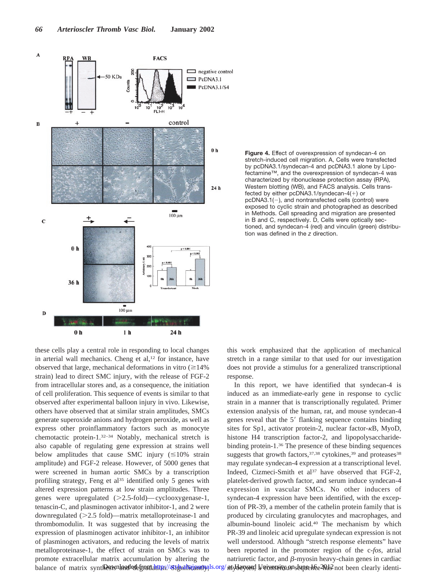



these cells play a central role in responding to local changes in arterial wall mechanics. Cheng et al,<sup>12</sup> for instance, have observed that large, mechanical deformations in vitro  $(\geq 14\%$ strain) lead to direct SMC injury, with the release of FGF-2 from intracellular stores and, as a consequence, the initiation of cell proliferation. This sequence of events is similar to that observed after experimental balloon injury in vivo. Likewise, others have observed that at similar strain amplitudes, SMCs generate superoxide anions and hydrogen peroxide, as well as express other proinflammatory factors such as monocyte chemotactic protein-1.32–34 Notably, mechanical stretch is also capable of regulating gene expression at strains well below amplitudes that cause SMC injury  $(\leq 10\%$  strain amplitude) and FGF-2 release. However, of 5000 genes that were screened in human aortic SMCs by a transcription profiling strategy, Feng et al<sup>35</sup> identified only 5 genes with altered expression patterns at low strain amplitudes. Three genes were upregulated  $(>2.5\text{-fold})$ —cyclooxygenase-1, tenascin-C, and plasminogen activator inhibitor-1, and 2 were downregulated (2.5 fold)—matrix metalloproteinase-1 and thrombomodulin. It was suggested that by increasing the expression of plasminogen activator inhibitor-1, an inhibitor of plasminogen activators, and reducing the levels of matrix metalloproteinase-1, the effect of strain on SMCs was to promote extracellular matrix accumulation by altering the balance of matrix synt**iDesisnloaded from http://six/prificiantly.**ls.org/aty**Uaxyes,! University on June 16e2012** not been clearly identi-

this work emphasized that the application of mechanical stretch in a range similar to that used for our investigation does not provide a stimulus for a generalized transcriptional response.

In this report, we have identified that syndecan-4 is induced as an immediate-early gene in response to cyclic strain in a manner that is transcriptionally regulated. Primer extension analysis of the human, rat, and mouse syndecan-4 genes reveal that the 5' flanking sequence contains binding sites for Sp1, activator protein-2, nuclear factor- $\kappa$ B, MyoD, histone H4 transcription factor-2, and lipopolysaccharidebinding protein-1.36 The presence of these binding sequences suggests that growth factors,  $37,38$  cytokines,  $39$  and proteases  $38$ may regulate syndecan-4 expression at a transcriptional level. Indeed, Cizmeci-Smith et al<sup>37</sup> have observed that FGF-2, platelet-derived growth factor, and serum induce syndecan-4 expression in vascular SMCs. No other inducers of syndecan-4 expression have been identified, with the exception of PR-39, a member of the cathelin protein family that is produced by circulating granulocytes and macrophages, and albumin-bound linoleic acid.40 The mechanism by which PR-39 and linoleic acid upregulate syndecan expression is not well understood. Although "stretch response elements" have been reported in the promoter region of the c-*fos*, atrial natriuretic factor, and  $\beta$ -myosin heavy-chain genes in cardiac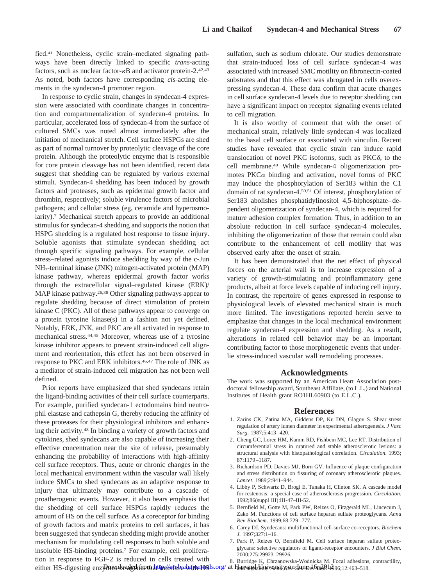fied.41 Nonetheless, cyclic strain–mediated signaling pathways have been directly linked to specific *trans*-acting factors, such as nuclear factor- $\kappa$ B and activator protein-2.<sup>42,43</sup> As noted, both factors have corresponding *cis*-acting elements in the syndecan-4 promoter region.

In response to cyclic strain, changes in syndecan-4 expression were associated with coordinate changes in concentration and compartmentalization of syndecan-4 proteins. In particular, accelerated loss of syndecan-4 from the surface of cultured SMCs was noted almost immediately after the initiation of mechanical stretch. Cell surface HSPGs are shed as part of normal turnover by proteolytic cleavage of the core protein. Although the proteolytic enzyme that is responsible for core protein cleavage has not been identified, recent data suggest that shedding can be regulated by various external stimuli. Syndecan-4 shedding has been induced by growth factors and proteases, such as epidermal growth factor and thrombin, respectively; soluble virulence factors of microbial pathogens; and cellular stress (eg, ceramide and hyperosmolarity).7 Mechanical stretch appears to provide an additional stimulus for syndecan-4 shedding and supports the notion that HSPG shedding is a regulated host response to tissue injury. Soluble agonists that stimulate syndecan shedding act through specific signaling pathways. For example, cellular stress–related agonists induce shedding by way of the c-Jun NH2-terminal kinase (JNK) mitogen-activated protein (MAP) kinase pathway, whereas epidermal growth factor works through the extracellular signal–regulated kinase (ERK)/ MAP kinase pathway.26,38 Other signaling pathways appear to regulate shedding because of direct stimulation of protein kinase C (PKC). All of these pathways appear to converge on a protein tyrosine kinase(s) in a fashion not yet defined. Notably, ERK, JNK, and PKC are all activated in response to mechanical stress.44,45 Moreover, whereas use of a tyrosine kinase inhibitor appears to prevent strain-induced cell alignment and reorientation, this effect has not been observed in response to PKC and ERK inhibitors.46,47 The role of JNK as a mediator of strain-induced cell migration has not been well defined.

Prior reports have emphasized that shed syndecans retain the ligand-binding activities of their cell surface counterparts. For example, purified syndecan-1 ectodomains bind neutrophil elastase and cathepsin G, thereby reducing the affinity of these proteases for their physiological inhibitors and enhancing their activity.48 In binding a variety of growth factors and cytokines, shed syndecans are also capable of increasing their effective concentration near the site of release, presumably enhancing the probability of interactions with high-affinity cell surface receptors. Thus, acute or chronic changes in the local mechanical environment within the vascular wall likely induce SMCs to shed syndecans as an adaptive response to injury that ultimately may contribute to a cascade of proatherogenic events. However, it also bears emphasis that the shedding of cell surface HSPGs rapidly reduces the amount of HS on the cell surface. As a coreceptor for binding of growth factors and matrix proteins to cell surfaces, it has been suggested that syndecan shedding might provide another mechanism for modulating cell responses to both soluble and insoluble HS-binding proteins.7 For example, cell proliferation in response to FGF-2 is reduced in cells treated with either HS-digesting enz**Pawnloaded from http://atebalajourns**ls.org/ at Hanvard liniversity on June 16, 2012, 163–518.

sulfation, such as sodium chlorate. Our studies demonstrate that strain-induced loss of cell surface syndecan-4 was associated with increased SMC motility on fibronectin-coated substrates and that this effect was abrogated in cells overexpressing syndecan-4. These data confirm that acute changes in cell surface syndecan-4 levels due to receptor shedding can have a significant impact on receptor signaling events related to cell migration.

It is also worthy of comment that with the onset of mechanical strain, relatively little syndecan-4 was localized to the basal cell surface or associated with vinculin. Recent studies have revealed that cyclic strain can induce rapid translocation of novel PKC isoforms, such as  $PKC\delta$ , to the cell membrane.49 While syndecan-4 oligomerization promotes  $PKC\alpha$  binding and activation, novel forms of PKC may induce the phosphorylation of Ser183 within the C1 domain of rat syndecan-4.50,51 Of interest, phosphorylation of Ser183 abolishes phosphatidylinositol 4,5-biphosphate–dependent oligomerization of syndecan-4, which is required for mature adhesion complex formation. Thus, in addition to an absolute reduction in cell surface syndecan-4 molecules, inhibiting the oligomerization of those that remain could also contribute to the enhancement of cell motility that was observed early after the onset of strain.

It has been demonstrated that the net effect of physical forces on the arterial wall is to increase expression of a variety of growth-stimulating and proinflammatory gene products, albeit at force levels capable of inducing cell injury. In contrast, the repertoire of genes expressed in response to physiological levels of elevated mechanical strain is much more limited. The investigations reported herein serve to emphasize that changes in the local mechanical environment regulate syndecan-4 expression and shedding. As a result, alterations in related cell behavior may be an important contributing factor to those morphogenetic events that underlie stress-induced vascular wall remodeling processes.

#### **Acknowledgments**

The work was supported by an American Heart Association postdoctoral fellowship award, Southeast Affiliate, (to L.L.) and National Institutes of Health grant RO1HL60903 (to E.L.C.).

#### **References**

- 1. Zarins CK, Zatina MA, Giddens DP, Ku DN, Glagov S. Shear stress regulation of artery lumen diameter in experimental atherogenesis. *J Vasc Surg*. 1987;5:413–420.
- 2. Cheng GC, Loree HM, Kamm RD, Fishbein MC, Lee RT. Distribution of circumferential stress in ruptured and stable atherosclerotic lesions: a structural analysis with histopathological correlation. *Circulation*. 1993; 87:1179–1187.
- 3. Richardson PD, Davies MJ, Born GV. Influence of plaque configuration and stress distribution on fissuring of coronary atherosclerotic plaques. *Lancet*. 1989;2:941–944.
- 4. Libby P, Schwartz D, Brogi E, Tanaka H, Clinton SK. A cascade model for restenosis: a special case of atherosclerosis progression. *Circulation*. 1992;86(suppl III):III-47–III-52.
- 5. Bernfield M, Gotte M, Park PW, Reizes O, Fitzgerald ML, Lincecum J, Zako M. Functions of cell surface heparan sulfate proteoglycans. *Annu Rev Biochem*. 1999;68:729–777.
- 6. Carey DJ. Syndecans: multifunctional cell-surface co-receptors. *Biochem J*. 1997;327:1–16.
- 7. Park P, Reizes O, Bernfield M. Cell surface heparan sulfate proteoglycans: selective regulators of ligand-receptor encounters. *J Biol Chem*. 2000;275:29923–29926.

8. Burridge K, Chrzanowska-Wodnicka M. Focal adhesions, contractility,